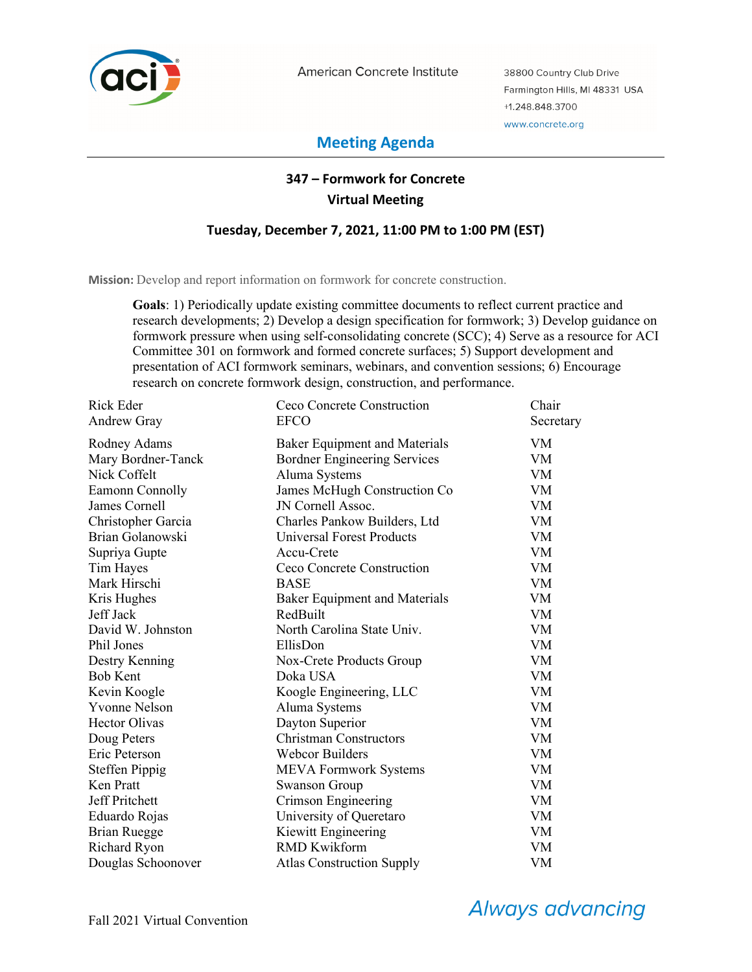

American Concrete Institute

38800 Country Club Drive Farmington Hills, MI 48331 USA +1.248.848.3700 www.concrete.org

# **Meeting Agenda**

## **347 – Formwork for Concrete Virtual Meeting**

## **Tuesday, December 7, 2021, 11:00 PM to 1:00 PM (EST)**

**Mission:** Develop and report information on formwork for concrete construction.

**Goals**: 1) Periodically update existing committee documents to reflect current practice and research developments; 2) Develop a design specification for formwork; 3) Develop guidance on formwork pressure when using self-consolidating concrete (SCC); 4) Serve as a resource for ACI Committee 301 on formwork and formed concrete surfaces; 5) Support development and presentation of ACI formwork seminars, webinars, and convention sessions; 6) Encourage research on concrete formwork design, construction, and performance.

| <b>Rick Eder</b>      | Ceco Concrete Construction           | Chair     |
|-----------------------|--------------------------------------|-----------|
| Andrew Gray           | <b>EFCO</b>                          | Secretary |
| Rodney Adams          | <b>Baker Equipment and Materials</b> | VM        |
| Mary Bordner-Tanck    | <b>Bordner Engineering Services</b>  | <b>VM</b> |
| Nick Coffelt          | Aluma Systems                        | <b>VM</b> |
| Eamonn Connolly       | James McHugh Construction Co         | <b>VM</b> |
| James Cornell         | JN Cornell Assoc.                    | VM        |
| Christopher Garcia    | Charles Pankow Builders, Ltd         | VM        |
| Brian Golanowski      | <b>Universal Forest Products</b>     | <b>VM</b> |
| Supriya Gupte         | Accu-Crete                           | <b>VM</b> |
| Tim Hayes             | Ceco Concrete Construction           | <b>VM</b> |
| Mark Hirschi          | <b>BASE</b>                          | <b>VM</b> |
| Kris Hughes           | <b>Baker Equipment and Materials</b> | VM        |
| Jeff Jack             | RedBuilt                             | <b>VM</b> |
| David W. Johnston     | North Carolina State Univ.           | <b>VM</b> |
| Phil Jones            | EllisDon                             | <b>VM</b> |
| Destry Kenning        | Nox-Crete Products Group             | <b>VM</b> |
| <b>Bob Kent</b>       | Doka USA                             | VM        |
| Kevin Koogle          | Koogle Engineering, LLC              | VM        |
| <b>Yvonne Nelson</b>  | Aluma Systems                        | <b>VM</b> |
| <b>Hector Olivas</b>  | Dayton Superior                      | <b>VM</b> |
| Doug Peters           | <b>Christman Constructors</b>        | <b>VM</b> |
| Eric Peterson         | <b>Webcor Builders</b>               | VM        |
| <b>Steffen Pippig</b> | <b>MEVA Formwork Systems</b>         | <b>VM</b> |
| Ken Pratt             | <b>Swanson Group</b>                 | <b>VM</b> |
| Jeff Pritchett        | Crimson Engineering                  | <b>VM</b> |
| Eduardo Rojas         | University of Queretaro              | VM        |
| <b>Brian Ruegge</b>   | Kiewitt Engineering                  | <b>VM</b> |
| Richard Ryon          | <b>RMD Kwikform</b>                  | <b>VM</b> |
| Douglas Schoonover    | <b>Atlas Construction Supply</b>     | <b>VM</b> |

**Always advancing**